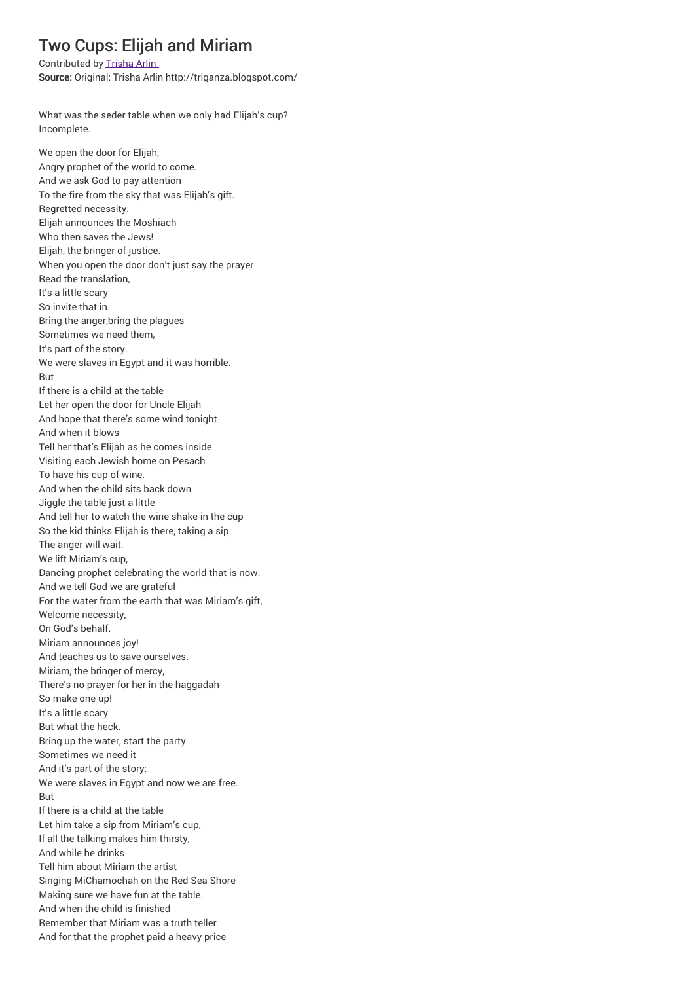## Two Cups: Elijah and Miriam

Contributed by Trisha Arlin

Source: Original: Trisha Arlin http://triganza.blogspot.com/

What was the seder table when we only had Elijah's cup? Incomplete.

We open the door for Elijah, Angry prophet of the world to come. And we ask God to pay attention To the fire from the sky that was Elijah's gift. Regretted necessity. Elijah announces the Moshiach Who then saves the Jews! Elijah, the bringer of justice. When you open the door don't just say the prayer Read the translation, It's a little scary So invite that in. Bring the anger,bring the plagues Sometimes we need them, It's part of the story. We were slaves in Egypt and it was horrible. But If there is a child at the table Let her open the door for Uncle Elijah And hope that there's some wind tonight And when it blows Tell her that's Elijah as he comes inside Visiting each Jewish home on Pesach To have his cup of wine. And when the child sits back down Jiggle the table just a little And tell her to watch the wine shake in the cup So the kid thinks Elijah is there, taking a sip. The anger will wait. We lift Miriam's cup, Dancing prophet celebrating the world that is now. And we tell God we are grateful For the water from the earth that was Miriam's gift, Welcome necessity, On God's behalf. Miriam announces joy! And teaches us to save ourselves. Miriam, the bringer of mercy, There's no prayer for her in the haggadah-So make one up! It's a little scary But what the heck. Bring up the water, start the party Sometimes we need it And it's part of the story: We were slaves in Egypt and now we are free. But If there is a child at the table Let him take a sip from Miriam's cup, If all the talking makes him thirsty, And while he drinks Tell him about Miriam the artist Singing MiChamochah on the Red Sea Shore Making sure we have fun at the table. And when the child is finished Remember that Miriam was a truth teller And for that the prophet paid a heavy price